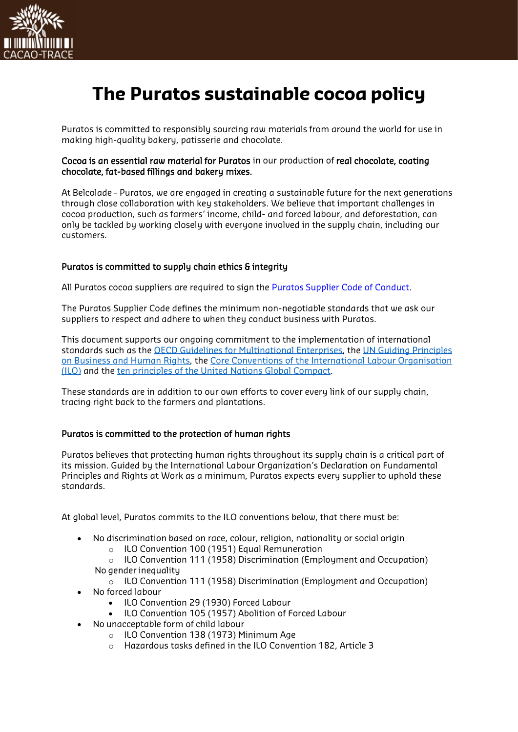

# **The Puratos sustainable cocoa policy**

Puratos is committed to responsibly sourcing raw materials from around the world for use in making high-quality bakery, patisserie and chocolate.

## Cocoa is an essential raw material for Puratos in our production of real chocolate, coating chocolate, fat-based fillings and bakery mixes.

At Belcolade - Puratos, we are engaged in creating a sustainable future for the next generations through close collaboration with key stakeholders. We believe that important challenges in cocoa production, such as farmers' income, child- and forced labour, and deforestation, can only be tackled by working closely with everyone involved in the supply chain, including our customers.

# Puratos is committed to supply chain ethics & integrity

All Puratos cocoa suppliers are required to sign the Puratos [Supplier Code of Conduct.](https://www.puratos.com/content/dam/corporate/documents/commitments/Suppliers%20Code%20of%20Conduct.pdf)

The Puratos Supplier Code defines the minimum non-negotiable standards that we ask our suppliers to respect and adhere to when they conduct business with Puratos.

This document supports our ongoing commitment to the implementation of international standards such as the [OECD Guidelines for Multinational Enterprises,](http://mneguidelines.oecd.org/guidelines/) the [UN Guiding Principles](https://www.ohchr.org/documents/publications/guidingprinciplesbusinesshr_en.pdf)  [on Business and Human Rights,](https://www.ohchr.org/documents/publications/guidingprinciplesbusinesshr_en.pdf) the [Core Conventions of the International Labour Organisation](https://www.ilo.org/global/standards/introduction-to-international-labour-standards/conventions-and-recommendations/lang--en/index.htm)  [\(ILO\)](https://www.ilo.org/global/standards/introduction-to-international-labour-standards/conventions-and-recommendations/lang--en/index.htm) and the [ten principles of the United Nations Global Compact.](https://www.unglobalcompact.org/what-is-gc/mission/principles)

These standards are in addition to our own efforts to cover every link of our supply chain, tracing right back to the farmers and plantations.

# Puratos is committed to the protection of human rights

Puratos believes that protecting human rights throughout its supply chain is a critical part of its mission. Guided by the International Labour Organization's Declaration on Fundamental Principles and Rights at Work as a minimum, Puratos expects every supplier to uphold these standards.

At global level, Puratos commits to the ILO conventions below, that there must be:

- No discrimination based on race, colour, religion, nationality or social origin
	- o ILO Convention 100 (1951) Equal Remuneration

o ILO Convention 111 (1958) Discrimination (Employment and Occupation) No gender inequality

- $\circ$  ILO Convention 111 (1958) Discrimination (Employment and Occupation) • No forced labour
	- ILO Convention 29 (1930) Forced Labour
	- ILO Convention 105 (1957) Abolition of Forced Labour
	- No unacceptable form of child labour
		- o ILO Convention 138 (1973) Minimum Age
		- o Hazardous tasks defined in the ILO Convention 182, Article 3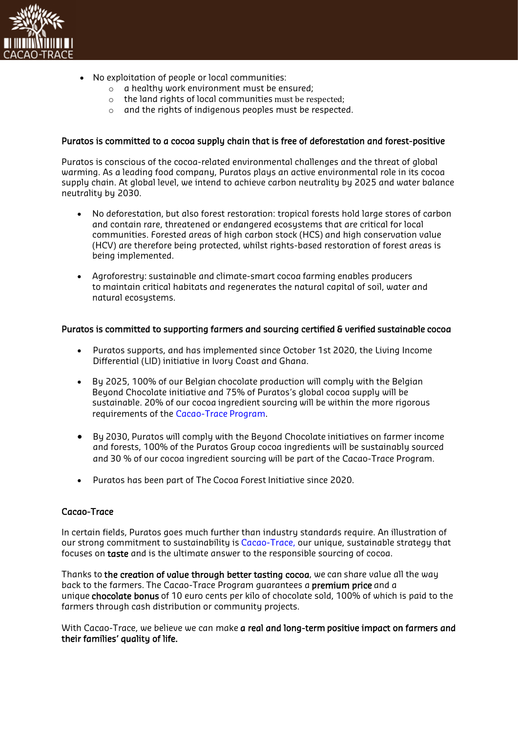

- No exploitation of people or local communities:
	- o a healthy work environment must be ensured;
	- o the land rights of local communities must be respected;
	- o and the rights of indigenous peoples must be respected.

### Puratos is committed to a cocoa supply chain that is free of deforestation and forest-positive

Puratos is conscious of the cocoa-related environmental challenges and the threat of global warming. As a leading food company, Puratos plays an active environmental role in its cocoa supply chain. At global level, we intend to achieve carbon neutrality by 2025 and water balance neutrality by 2030.

- No deforestation, but also forest restoration: tropical forests hold large stores of carbon and contain rare, threatened or endangered ecosystems that are critical for local communities. Forested areas of high carbon stock (HCS) and high conservation value (HCV) are therefore being protected, whilst rights-based restoration of forest areas is being implemented.
- Agroforestry: sustainable and climate-smart cocoa farming enables producers to maintain critical habitats and regenerates the natural capital of soil, water and natural ecosystems.

#### Puratos is committed to supporting farmers and sourcing certified & verified sustainable cocoa

- Puratos supports, and has implemented since October 1st 2020, the Living Income Differential (LID) initiative in Ivory Coast and Ghana.
- By 2025, 100% of our Belgian chocolate production will comply with the Belgian Beyond Chocolate initiative and 75% of Puratos's global cocoa supply will be sustainable. 20% of our cocoa ingredient sourcing will be within the more rigorous requirements of the [Cacao-Trace](https://www.puratos.com/content/dam/corporate/documents/CT%20Standard.pdf) Program.
- By 2030, Puratos will comply with the Beyond Chocolate initiatives on farmer income and forests, 100% of the Puratos Group cocoa ingredients will be sustainably sourced and 30 % of our cocoa ingredient sourcing will be part of the Cacao-Trace Program.
- Puratos has been part of The Cocoa Forest Initiative since 2020.

## Cacao-Trace

In certain fields, Puratos goes much further than industry standards require. An illustration of our strong commitment to sustainability is [Cacao-Trace,](https://www.puratos.com/product-categories/chocolate/cacao-trace) our unique, sustainable strategy that focuses on taste and is the ultimate answer to the responsible sourcing of cocoa.

Thanks to the creation of value through better tasting cocoa, we can share value all the way back to the farmers. The Cacao-Trace Program guarantees a premium price and a unique chocolate bonus of 10 euro cents per kilo of chocolate sold, 100% of which is paid to the farmers through cash distribution or community projects.

With Cacao-Trace, we believe we can make a real and long-term positive impact on farmers and their families' quality of life.